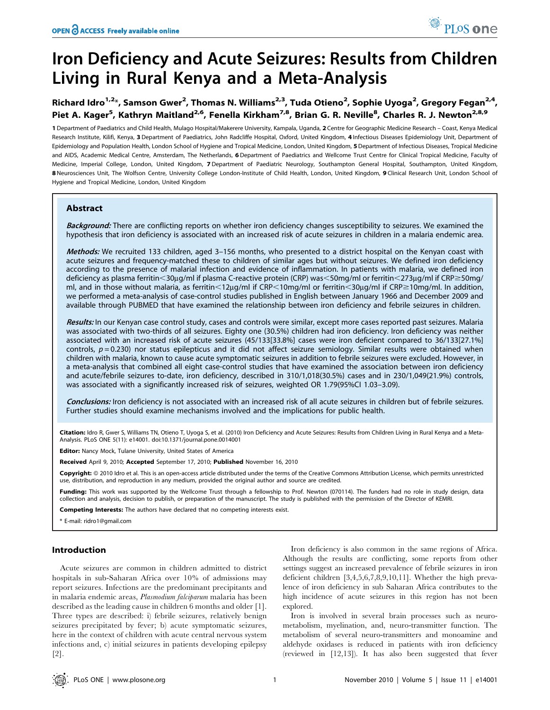# Iron Deficiency and Acute Seizures: Results from Children Living in Rural Kenya and a Meta-Analysis

# Richard Idro<sup>1,2</sup>\*, Samson Gwer<sup>2</sup>, Thomas N. Williams<sup>2,3</sup>, Tuda Otieno<sup>2</sup>, Sophie Uyoga<sup>2</sup>, Gregory Fegan<sup>2,4</sup>, Piet A. Kager<sup>5</sup>, Kathryn Maitland<sup>2,6</sup>, Fenella Kirkham<sup>7,8</sup>, Brian G. R. Neville<sup>8</sup>, Charles R. J. Newton<sup>2,8,9</sup>

1 Department of Paediatrics and Child Health, Mulago Hospital/Makerere University, Kampala, Uganda, 2 Centre for Geographic Medicine Research – Coast, Kenya Medical Research Institute, Kilifi, Kenya, 3 Department of Paediatrics, John Radcliffe Hospital, Oxford, United Kingdom, 4 Infectious Diseases Epidemiology Unit, Department of Epidemiology and Population Health, London School of Hygiene and Tropical Medicine, London, United Kingdom, 5 Department of Infectious Diseases, Tropical Medicine and AIDS, Academic Medical Centre, Amsterdam, The Netherlands, 6 Department of Paediatrics and Wellcome Trust Centre for Clinical Tropical Medicine, Faculty of Medicine, Imperial College, London, United Kingdom, 7 Department of Paediatric Neurology, Southampton General Hospital, Southampton, United Kingdom, 8 Neurosciences Unit, The Wolfson Centre, University College London-Institute of Child Health, London, United Kingdom, 9 Clinical Research Unit, London School of Hygiene and Tropical Medicine, London, United Kingdom

# Abstract

Background: There are conflicting reports on whether iron deficiency changes susceptibility to seizures. We examined the hypothesis that iron deficiency is associated with an increased risk of acute seizures in children in a malaria endemic area.

Methods: We recruited 133 children, aged 3-156 months, who presented to a district hospital on the Kenyan coast with acute seizures and frequency-matched these to children of similar ages but without seizures. We defined iron deficiency according to the presence of malarial infection and evidence of inflammation. In patients with malaria, we defined iron deficiency as plasma ferritin<30µg/ml if plasma C-reactive protein (CRP) was<50mg/ml or ferritin<273µg/ml if CRP≥50mg/ ml, and in those without malaria, as ferritin<12µg/ml if CRP<10mg/ml or ferritin<30µg/ml if CRP  $\geq$ 10mg/ml. In addition, we performed a meta-analysis of case-control studies published in English between January 1966 and December 2009 and available through PUBMED that have examined the relationship between iron deficiency and febrile seizures in children.

Results: In our Kenyan case control study, cases and controls were similar, except more cases reported past seizures. Malaria was associated with two-thirds of all seizures. Eighty one (30.5%) children had iron deficiency. Iron deficiency was neither associated with an increased risk of acute seizures (45/133[33.8%] cases were iron deficient compared to 36/133[27.1%] controls,  $p = 0.230$ ) nor status epilepticus and it did not affect seizure semiology. Similar results were obtained when children with malaria, known to cause acute symptomatic seizures in addition to febrile seizures were excluded. However, in a meta-analysis that combined all eight case-control studies that have examined the association between iron deficiency and acute/febrile seizures to-date, iron deficiency, described in 310/1,018(30.5%) cases and in 230/1,049(21.9%) controls, was associated with a significantly increased risk of seizures, weighted OR 1.79(95%CI 1.03-3.09).

Conclusions: Iron deficiency is not associated with an increased risk of all acute seizures in children but of febrile seizures. Further studies should examine mechanisms involved and the implications for public health.

Citation: Idro R, Gwer S, Williams TN, Otieno T, Uyoga S, et al. (2010) Iron Deficiency and Acute Seizures: Results from Children Living in Rural Kenya and a Meta-Analysis. PLoS ONE 5(11): e14001. doi:10.1371/journal.pone.0014001

Editor: Nancy Mock, Tulane University, United States of America

Received April 9, 2010; Accepted September 17, 2010; Published November 16, 2010

**Copyright:** © 2010 Idro et al. This is an open-access article distributed under the terms of the Creative Commons Attribution License, which permits unrestricted use, distribution, and reproduction in any medium, provided the original author and source are credited.

Funding: This work was supported by the Wellcome Trust through a fellowship to Prof. Newton (070114). The funders had no role in study design, data collection and analysis, decision to publish, or preparation of the manuscript. The study is published with the permission of the Director of KEMRI.

Competing Interests: The authors have declared that no competing interests exist.

\* E-mail: ridro1@gmail.com

## Introduction

Acute seizures are common in children admitted to district hospitals in sub-Saharan Africa over 10% of admissions may report seizures. Infections are the predominant precipitants and in malaria endemic areas, Plasmodium falciparum malaria has been described as the leading cause in children 6 months and older [1]. Three types are described: i) febrile seizures, relatively benign seizures precipitated by fever; b) acute symptomatic seizures, here in the context of children with acute central nervous system infections and, c) initial seizures in patients developing epilepsy [2].

Iron deficiency is also common in the same regions of Africa. Although the results are conflicting, some reports from other settings suggest an increased prevalence of febrile seizures in iron deficient children [3,4,5,6,7,8,9,10,11]. Whether the high prevalence of iron deficiency in sub Saharan Africa contributes to the high incidence of acute seizures in this region has not been explored.

Iron is involved in several brain processes such as neurometabolism, myelination, and, neuro-transmitter function. The metabolism of several neuro-transmitters and monoamine and aldehyde oxidases is reduced in patients with iron deficiency (reviewed in [12,13]). It has also been suggested that fever

PLoS one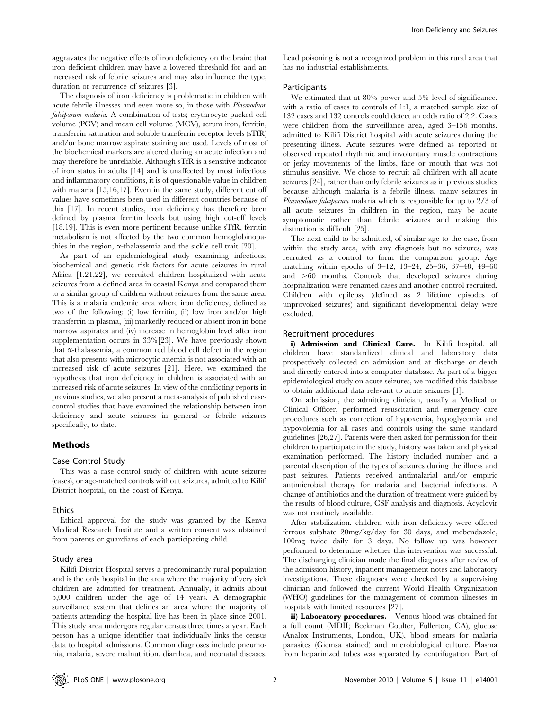aggravates the negative effects of iron deficiency on the brain: that iron deficient children may have a lowered threshold for and an increased risk of febrile seizures and may also influence the type, duration or recurrence of seizures [3].

The diagnosis of iron deficiency is problematic in children with acute febrile illnesses and even more so, in those with Plasmodium falciparum malaria. A combination of tests; erythrocyte packed cell volume (PCV) and mean cell volume (MCV), serum iron, ferritin, transferrin saturation and soluble transferrin receptor levels (sTfR) and/or bone marrow aspirate staining are used. Levels of most of the biochemical markers are altered during an acute infection and may therefore be unreliable. Although sTfR is a sensitive indicator of iron status in adults [14] and is unaffected by most infectious and inflammatory conditions, it is of questionable value in children with malaria [15,16,17]. Even in the same study, different cut off values have sometimes been used in different countries because of this [17]. In recent studies, iron deficiency has therefore been defined by plasma ferritin levels but using high cut-off levels [18,19]. This is even more pertinent because unlike sTfR, ferritin metabolism is not affected by the two common hemoglobinopathies in the region,  $\alpha$ -thalassemia and the sickle cell trait [20].

As part of an epidemiological study examining infectious, biochemical and genetic risk factors for acute seizures in rural Africa [1,21,22], we recruited children hospitalized with acute seizures from a defined area in coastal Kenya and compared them to a similar group of children without seizures from the same area. This is a malaria endemic area where iron deficiency, defined as two of the following: (i) low ferritin, (ii) low iron and/or high transferrin in plasma, (iii) markedly reduced or absent iron in bone marrow aspirates and (iv) increase in hemoglobin level after iron supplementation occurs in 33%[23]. We have previously shown that a-thalassemia, a common red blood cell defect in the region that also presents with microcytic anemia is not associated with an increased risk of acute seizures [21]. Here, we examined the hypothesis that iron deficiency in children is associated with an increased risk of acute seizures. In view of the conflicting reports in previous studies, we also present a meta-analysis of published casecontrol studies that have examined the relationship between iron deficiency and acute seizures in general or febrile seizures specifically, to date.

# Methods

#### Case Control Study

This was a case control study of children with acute seizures (cases), or age-matched controls without seizures, admitted to Kilifi District hospital, on the coast of Kenya.

#### Ethics

Ethical approval for the study was granted by the Kenya Medical Research Institute and a written consent was obtained from parents or guardians of each participating child.

#### Study area

Kilifi District Hospital serves a predominantly rural population and is the only hospital in the area where the majority of very sick children are admitted for treatment. Annually, it admits about 5,000 children under the age of 14 years. A demographic surveillance system that defines an area where the majority of patients attending the hospital live has been in place since 2001. This study area undergoes regular census three times a year. Each person has a unique identifier that individually links the census data to hospital admissions. Common diagnoses include pneumonia, malaria, severe malnutrition, diarrhea, and neonatal diseases.

Lead poisoning is not a recognized problem in this rural area that has no industrial establishments.

#### Participants

We estimated that at 80% power and 5% level of significance, with a ratio of cases to controls of 1:1, a matched sample size of 132 cases and 132 controls could detect an odds ratio of 2.2. Cases were children from the surveillance area, aged 3–156 months, admitted to Kilifi District hospital with acute seizures during the presenting illness. Acute seizures were defined as reported or observed repeated rhythmic and involuntary muscle contractions or jerky movements of the limbs, face or mouth that was not stimulus sensitive. We chose to recruit all children with all acute seizures [24], rather than only febrile seizures as in previous studies because although malaria is a febrile illness, many seizures in Plasmodium falciparum malaria which is responsible for up to 2/3 of all acute seizures in children in the region, may be acute symptomatic rather than febrile seizures and making this distinction is difficult [25].

The next child to be admitted, of similar age to the case, from within the study area, with any diagnosis but no seizures, was recruited as a control to form the comparison group. Age matching within epochs of 3–12, 13–24, 25–36, 37–48, 49–60 and  $>60$  months. Controls that developed seizures during hospitalization were renamed cases and another control recruited. Children with epilepsy (defined as 2 lifetime episodes of unprovoked seizures) and significant developmental delay were excluded.

#### Recruitment procedures

i) Admission and Clinical Care. In Kilifi hospital, all children have standardized clinical and laboratory data prospectively collected on admission and at discharge or death and directly entered into a computer database. As part of a bigger epidemiological study on acute seizures, we modified this database to obtain additional data relevant to acute seizures [1].

On admission, the admitting clinician, usually a Medical or Clinical Officer, performed resuscitation and emergency care procedures such as correction of hypoxemia, hypoglycemia and hypovolemia for all cases and controls using the same standard guidelines [26,27]. Parents were then asked for permission for their children to participate in the study, history was taken and physical examination performed. The history included number and a parental description of the types of seizures during the illness and past seizures. Patients received antimalarial and/or empiric antimicrobial therapy for malaria and bacterial infections. A change of antibiotics and the duration of treatment were guided by the results of blood culture, CSF analysis and diagnosis. Acyclovir was not routinely available.

After stabilization, children with iron deficiency were offered ferrous sulphate 20mg/kg/day for 30 days, and mebendazole, 100mg twice daily for 3 days. No follow up was however performed to determine whether this intervention was successful. The discharging clinician made the final diagnosis after review of the admission history, inpatient management notes and laboratory investigations. These diagnoses were checked by a supervising clinician and followed the current World Health Organization (WHO) guidelines for the management of common illnesses in hospitals with limited resources [27].

ii) Laboratory procedures. Venous blood was obtained for a full count (MDII; Beckman Coulter, Fullerton, CA), glucose (Analox Instruments, London, UK), blood smears for malaria parasites (Giemsa stained) and microbiological culture. Plasma from heparinized tubes was separated by centrifugation. Part of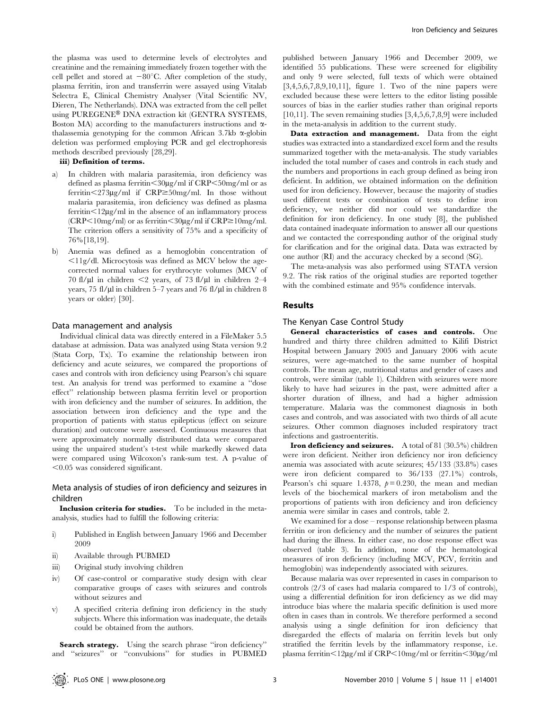the plasma was used to determine levels of electrolytes and creatinine and the remaining immediately frozen together with the cell pellet and stored at  $-80^{\circ}$ C. After completion of the study, plasma ferritin, iron and transferrin were assayed using Vitalab Selectra E, Clinical Chemistry Analyser (Vital Scientific NV, Dieren, The Netherlands). DNA was extracted from the cell pellet using PUREGENE® DNA extraction kit (GENTRA SYSTEMS, Boston MA) according to the manufacturers instructions and  $\alpha$ thalassemia genotyping for the common African 3.7kb  $\alpha$ -globin deletion was performed employing PCR and gel electrophoresis methods described previously [28,29].

# iii) Definition of terms.

- a) In children with malaria parasitemia, iron deficiency was defined as plasma ferritin $\leq$ 30 $\mu$ g/ml if CRP $\leq$ 50mg/ml or as ferritin $\leq$ 273 $\mu$ g/ml if CRP $\geq$ 50mg/ml. In those without malaria parasitemia, iron deficiency was defined as plasma ferritin $\leq$ 12 $\mu$ g/ml in the absence of an inflammatory process  $(CRP<10mg/ml)$  or as ferritin $<30\mu g/ml$  if  $CRP \ge 10mg/ml$ . The criterion offers a sensitivity of 75% and a specificity of 76%[18,19].
- b) Anemia was defined as a hemoglobin concentration of  $\langle 11g/dl$ . Microcytosis was defined as MCV below the agecorrected normal values for erythrocyte volumes (MCV of 70 fl/ $\mu$ l in children <2 years, of 73 fl/ $\mu$ l in children 2–4 years, 75 fl/µl in children 5–7 years and 76 fl/µl in children 8 years or older) [30].

#### Data management and analysis

Individual clinical data was directly entered in a FileMaker 5.5 database at admission. Data was analyzed using Stata version 9.2 (Stata Corp, Tx). To examine the relationship between iron deficiency and acute seizures, we compared the proportions of cases and controls with iron deficiency using Pearson's chi square test. An analysis for trend was performed to examine a ''dose effect'' relationship between plasma ferritin level or proportion with iron deficiency and the number of seizures. In addition, the association between iron deficiency and the type and the proportion of patients with status epilepticus (effect on seizure duration) and outcome were assessed. Continuous measures that were approximately normally distributed data were compared using the unpaired student's t-test while markedly skewed data were compared using Wilcoxon's rank-sum test. A p-value of  $<$ 0.05 was considered significant.

# Meta analysis of studies of iron deficiency and seizures in children

Inclusion criteria for studies. To be included in the metaanalysis, studies had to fulfill the following criteria:

- i) Published in English between January 1966 and December 2009
- ii) Available through PUBMED
- iii) Original study involving children
- iv) Of case-control or comparative study design with clear comparative groups of cases with seizures and controls without seizures and
- v) A specified criteria defining iron deficiency in the study subjects. Where this information was inadequate, the details could be obtained from the authors.

Search strategy. Using the search phrase "iron deficiency" and ''seizures'' or ''convulsions'' for studies in PUBMED published between January 1966 and December 2009, we identified 55 publications. These were screened for eligibility and only 9 were selected, full texts of which were obtained [3,4,5,6,7,8,9,10,11], figure 1. Two of the nine papers were excluded because these were letters to the editor listing possible sources of bias in the earlier studies rather than original reports [10,11]. The seven remaining studies [3,4,5,6,7,8,9] were included in the meta-analysis in addition to the current study.

Data extraction and management. Data from the eight studies was extracted into a standardized excel form and the results summarized together with the meta-analysis. The study variables included the total number of cases and controls in each study and the numbers and proportions in each group defined as being iron deficient. In addition, we obtained information on the definition used for iron deficiency. However, because the majority of studies used different tests or combination of tests to define iron deficiency, we neither did nor could we standardize the definition for iron deficiency. In one study [8], the published data contained inadequate information to answer all our questions and we contacted the corresponding author of the original study for clarification and for the original data. Data was extracted by one author (RI) and the accuracy checked by a second (SG).

The meta-analysis was also performed using STATA version 9.2. The risk ratios of the original studies are reported together with the combined estimate and 95% confidence intervals.

# Results

#### The Kenyan Case Control Study

General characteristics of cases and controls. One hundred and thirty three children admitted to Kilifi District Hospital between January 2005 and January 2006 with acute seizures, were age-matched to the same number of hospital controls. The mean age, nutritional status and gender of cases and controls, were similar (table 1). Children with seizures were more likely to have had seizures in the past, were admitted after a shorter duration of illness, and had a higher admission temperature. Malaria was the commonest diagnosis in both cases and controls, and was associated with two thirds of all acute seizures. Other common diagnoses included respiratory tract infections and gastroenteritis.

Iron deficiency and seizures. A total of 81 (30.5%) children were iron deficient. Neither iron deficiency nor iron deficiency anemia was associated with acute seizures; 45/133 (33.8%) cases were iron deficient compared to 36/133 (27.1%) controls, Pearson's chi square 1.4378,  $p = 0.230$ , the mean and median levels of the biochemical markers of iron metabolism and the proportions of patients with iron deficiency and iron deficiency anemia were similar in cases and controls, table 2.

We examined for a dose – response relationship between plasma ferritin or iron deficiency and the number of seizures the patient had during the illness. In either case, no dose response effect was observed (table 3). In addition, none of the hematological measures of iron deficiency (including MCV, PCV, ferritin and hemoglobin) was independently associated with seizures.

Because malaria was over represented in cases in comparison to controls (2/3 of cases had malaria compared to 1/3 of controls), using a differential definition for iron deficiency as we did may introduce bias where the malaria specific definition is used more often in cases than in controls. We therefore performed a second analysis using a single definition for iron deficiency that disregarded the effects of malaria on ferritin levels but only stratified the ferritin levels by the inflammatory response, i.e. plasma ferritin<12µg/ml if CRP<10mg/ml or ferritin<30µg/ml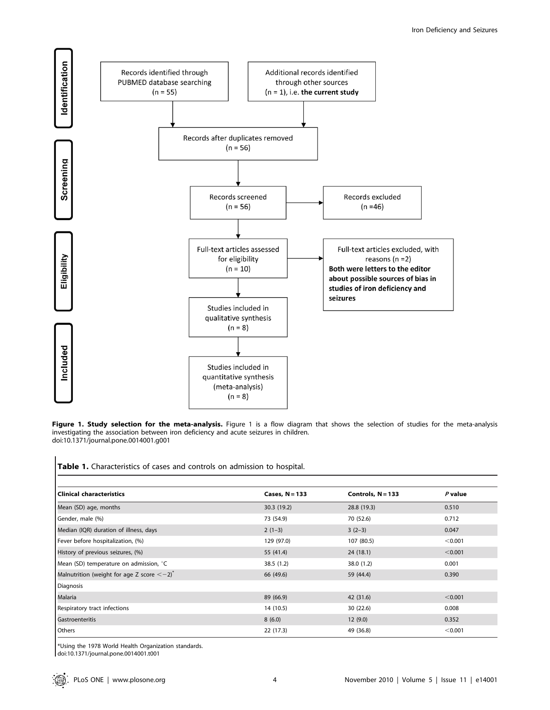

Figure 1. Study selection for the meta-analysis. Figure 1 is a flow diagram that shows the selection of studies for the meta-analysis investigating the association between iron deficiency and acute seizures in children. doi:10.1371/journal.pone.0014001.g001

Table 1. Characteristics of cases and controls on admission to hospital.

| Cases, $N = 133$ | Controls, $N = 133$ | $P$ value |
|------------------|---------------------|-----------|
| 30.3(19.2)       | 28.8 (19.3)         | 0.510     |
| 73 (54.9)        | 70 (52.6)           | 0.712     |
| $2(1-3)$         | $3(2-3)$            | 0.047     |
| 129 (97.0)       | 107 (80.5)          | < 0.001   |
| 55 (41.4)        | 24(18.1)            | < 0.001   |
| 38.5(1.2)        | 38.0(1.2)           | 0.001     |
| 66 (49.6)        | 59 (44.4)           | 0.390     |
|                  |                     |           |
| 89 (66.9)        | 42 (31.6)           | < 0.001   |
| 14 (10.5)        | 30(22.6)            | 0.008     |
| 8(6.0)           | 12(9.0)             | 0.352     |
| 22 (17.3)        | 49 (36.8)           | < 0.001   |
|                  |                     |           |

\*Using the 1978 World Health Organization standards.

doi:10.1371/journal.pone.0014001.t001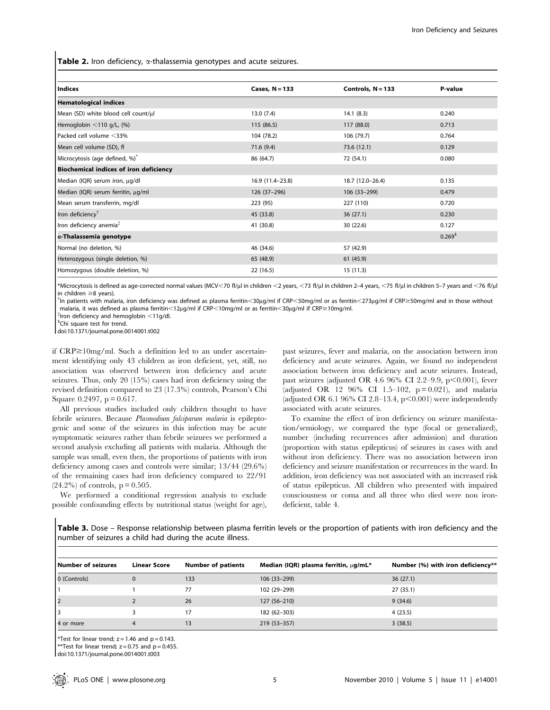Table 2. Iron deficiency,  $\alpha$ -thalassemia genotypes and acute seizures.

| Cases, $N = 133$ | Controls, $N = 133$ | P-value     |
|------------------|---------------------|-------------|
|                  |                     |             |
| 13.0(7.4)        | 14.1(8.3)           | 0.240       |
| 115(86.5)        | 117 (88.0)          | 0.713       |
| 104 (78.2)       | 106 (79.7)          | 0.764       |
| 71.6(9.4)        | 73.6 (12.1)         | 0.129       |
| 86 (64.7)        | 72 (54.1)           | 0.080       |
|                  |                     |             |
| 16.9 (11.4-23.8) | 18.7 (12.0-26.4)    | 0.135       |
| 126 (37-296)     | 106 (33-299)        | 0.479       |
| 223 (95)         | 227 (110)           | 0.720       |
| 45 (33.8)        | 36(27.1)            | 0.230       |
| 41 (30.8)        | 30 (22.6)           | 0.127       |
|                  |                     | $0.269^{8}$ |
| 46 (34.6)        | 57 (42.9)           |             |
| 65 (48.9)        | 61 (45.9)           |             |
| 22 (16.5)        | 15(11.3)            |             |
|                  |                     |             |

\*Microcytosis is defined as age-corrected normal values (MCV<70 fl/µl in children <2 years, <73 fl/µl in children 2–4 years, <75 fl/µl in children 5–7 years and <76 fl/µl in children  $\geq$ 8 years).

 $^{\dagger}$ In patients with malaria, iron deficiency was defined as plasma ferritin<30μg/ml if CRP<50mg/ml or as ferritin<273μg/ml if CRP≥50mg/ml and in those without malaria, it was defined as plasma ferritin $<$ 12µg/ml if CRP $<$ 10mg/ml or as ferritin $<$ 30µg/ml if CRP $\ge$ 10mg/ml.

 $*$ Iron deficiency and hemoglobin  $<$ 11g/dl.

<sup>§</sup>Chi square test for trend. doi:10.1371/journal.pone.0014001.t002

if  $CRP \ge 10$ mg/ml. Such a definition led to an under ascertainment identifying only 43 children as iron deficient, yet, still, no association was observed between iron deficiency and acute seizures. Thus, only 20 (15%) cases had iron deficiency using the revised definition compared to 23 (17.3%) controls, Pearson's Chi

Square 0.2497,  $p = 0.617$ . All previous studies included only children thought to have febrile seizures. Because Plasmodium falciparum malaria is epileptogenic and some of the seizures in this infection may be acute symptomatic seizures rather than febrile seizures we performed a second analysis excluding all patients with malaria. Although the sample was small, even then, the proportions of patients with iron deficiency among cases and controls were similar; 13/44 (29.6%) of the remaining cases had iron deficiency compared to 22/91  $(24.2\%)$  of controls,  $p = 0.505$ .

We performed a conditional regression analysis to exclude possible confounding effects by nutritional status (weight for age), past seizures, fever and malaria, on the association between iron deficiency and acute seizures. Again, we found no independent association between iron deficiency and acute seizures. Instead, past seizures (adjusted OR 4.6 96% CI 2.2–9.9, p $\leq 0.001$ ), fever (adjusted OR 12 96% CI 1.5–102,  $p = 0.021$ ), and malaria (adjusted OR 6.1 96% CI 2.8–13.4,  $p<0.001$ ) were independently associated with acute seizures.

To examine the effect of iron deficiency on seizure manifestation/semiology, we compared the type (focal or generalized), number (including recurrences after admission) and duration (proportion with status epilepticus) of seizures in cases with and without iron deficiency. There was no association between iron deficiency and seizure manifestation or recurrences in the ward. In addition, iron deficiency was not associated with an increased risk of status epilepticus. All children who presented with impaired consciousness or coma and all three who died were non irondeficient, table 4.

Table 3. Dose – Response relationship between plasma ferritin levels or the proportion of patients with iron deficiency and the number of seizures a child had during the acute illness.

| Number of seizures | <b>Linear Score</b> | <b>Number of patients</b> | Median (IQR) plasma ferritin, $\mu$ g/mL* | Number (%) with iron deficiency** |
|--------------------|---------------------|---------------------------|-------------------------------------------|-----------------------------------|
| 0 (Controls)       | $\mathbf 0$         | 133                       | 106 (33-299)                              | 36(27.1)                          |
|                    |                     | 77                        | 102 (29-299)                              | 27(35.1)                          |
| 12                 |                     | 26                        | $127(56 - 210)$                           | 9(34.6)                           |
| l3                 |                     | 17                        | 182 (62-303)                              | 4(23.5)                           |
| l 4 or more        |                     | 13                        | 219 (53-357)                              | 3(38.5)                           |

\*Test for linear trend;  $z = 1.46$  and  $p = 0.143$ .

\*\*Test for linear trend:  $z = 0.75$  and  $p = 0.455$ .

doi:10.1371/journal.pone.0014001.t003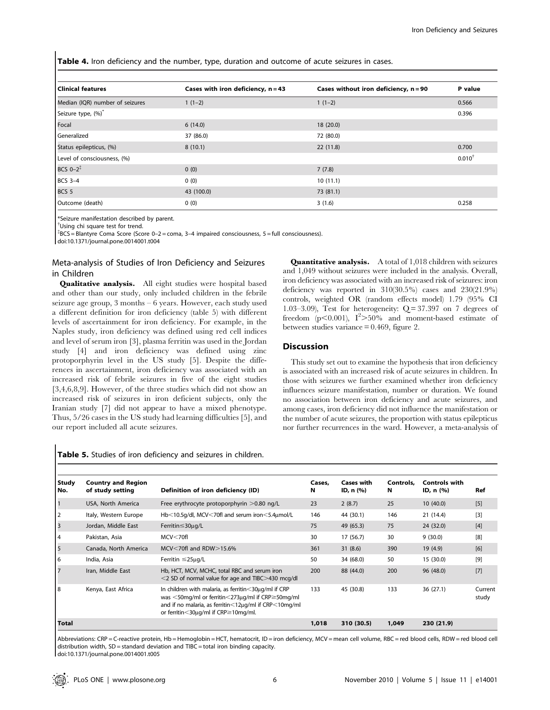Table 4. Iron deficiency and the number, type, duration and outcome of acute seizures in cases.

| <b>Clinical features</b>                   | Cases with iron deficiency, $n = 43$ | Cases without iron deficiency, $n = 90$ | P value     |
|--------------------------------------------|--------------------------------------|-----------------------------------------|-------------|
| Median (IQR) number of seizures            | $1(1-2)$                             | $1(1-2)$                                | 0.566       |
| Seizure type, (%)*                         |                                      |                                         | 0.396       |
| Focal                                      | 6(14.0)                              | 18(20.0)                                |             |
| Generalized                                | 37 (86.0)                            | 72 (80.0)                               |             |
| Status epilepticus, (%)                    | 8(10.1)                              | 22(11.8)                                | 0.700       |
| Level of consciousness, (%)                |                                      |                                         | $0.010^{+}$ |
| BCS $0-2$ <sup><math>\ddagger</math></sup> | 0(0)                                 | 7(7.8)                                  |             |
| <b>BCS 3-4</b>                             | 0(0)                                 | 10(11.1)                                |             |
| BCS <sub>5</sub>                           | 43 (100.0)                           | 73 (81.1)                               |             |
| Outcome (death)                            | 0(0)                                 | 3(1.6)                                  | 0.258       |

\*Seizure manifestation described by parent.

{ Using chi square test for trend.

{ BCS = Blantyre Coma Score (Score 0–2 = coma, 3–4 impaired consciousness, 5 = full consciousness).

doi:10.1371/journal.pone.0014001.t004

# Meta-analysis of Studies of Iron Deficiency and Seizures in Children

Qualitative analysis. All eight studies were hospital based and other than our study, only included children in the febrile seizure age group, 3 months – 6 years. However, each study used a different definition for iron deficiency (table 5) with different levels of ascertainment for iron deficiency. For example, in the Naples study, iron deficiency was defined using red cell indices and level of serum iron [3], plasma ferritin was used in the Jordan study [4] and iron deficiency was defined using zinc protoporphyrin level in the US study [5]. Despite the differences in ascertainment, iron deficiency was associated with an increased risk of febrile seizures in five of the eight studies [3,4,6,8,9]. However, of the three studies which did not show an increased risk of seizures in iron deficient subjects, only the Iranian study [7] did not appear to have a mixed phenotype. Thus, 5/26 cases in the US study had learning difficulties [5], and our report included all acute seizures.

Table 5. Studies of iron deficiency and seizures in children.

Quantitative analysis. A total of 1,018 children with seizures and 1,049 without seizures were included in the analysis. Overall, iron deficiency was associated with an increased risk of seizures: iron deficiency was reported in 310(30.5%) cases and 230(21.9%) controls, weighted OR (random effects model) 1.79 (95% CI 1.03–3.09), Test for heterogeneity:  $Q = 37.397$  on 7 degrees of freedom  $(p<0.001)$ ,  $I^2>50\%$  and moment-based estimate of between studies variance = 0.469, figure 2.

# **Discussion**

This study set out to examine the hypothesis that iron deficiency is associated with an increased risk of acute seizures in children. In those with seizures we further examined whether iron deficiency influences seizure manifestation, number or duration. We found no association between iron deficiency and acute seizures, and among cases, iron deficiency did not influence the manifestation or the number of acute seizures, the proportion with status epilepticus nor further recurrences in the ward. However, a meta-analysis of

Study No. Country and Region of study setting Definition of iron deficiency (ID) Cases, N Cases with ID, n (%) Controls, N Controls with ID, n (%) Ref USA, North America Free erythrocyte protoporphyrin >0.80 ng/L 23 2 (8.7) 25 10 (40.0) [5] 2 Italy, Western Europe Hb<10.5g/dl, MCV<70fl and serum iron<5.4µmol/L 146 44 (30.1) 146 21 (14.4) [3]  $3$  Jordan, Middle East Ferritin $\leq 30$ ug/L 75 49 (65.3) 75 24 (32.0) [4] 4 Pakistan, Asia MCV,70fl 30 17 (56.7) 30 9 (30.0) [8] 5 Canada, North America MCV<70fl and RDW>15.6% 361 31 (8.6) 390 19 (4.9) [6]  $6$  India, Asia **Ferritin**  $\leq$ **25µg/L** 50 34 (68.0) 50 15 (30.0) [9] Iran, Middle East Hb, HCT, MCV, MCHC, total RBC and serum iron  $<$ 2 SD of normal value for age and TIBC $>$ 430 mcg/dl 200 88 (44.0) 200 96 (48.0) [7] 8 Kenya, East Africa In children with malaria, as ferritin $\leq 30\mu$ g/ml if CRP was <50mg/ml or ferritin<273ug/ml if CRP≥50mg/ml and if no malaria, as ferritin $<$ 12µg/ml if CRP $<$ 10mg/ml or ferritin<30µg/ml if CRP≥10mg/ml. 133 45 (30.8) 133 36 (27.1) Current study Total 1,018 310 (30.5) 1,049 230 (21.9)

Abbreviations: CRP = C-reactive protein, Hb = Hemoglobin = HCT, hematocrit, ID = iron deficiency, MCV = mean cell volume, RBC = red blood cells, RDW = red blood cell distribution width,  $SD =$  standard deviation and  $T\text{IBC} =$  total iron binding capacity. doi:10.1371/journal.pone.0014001.t005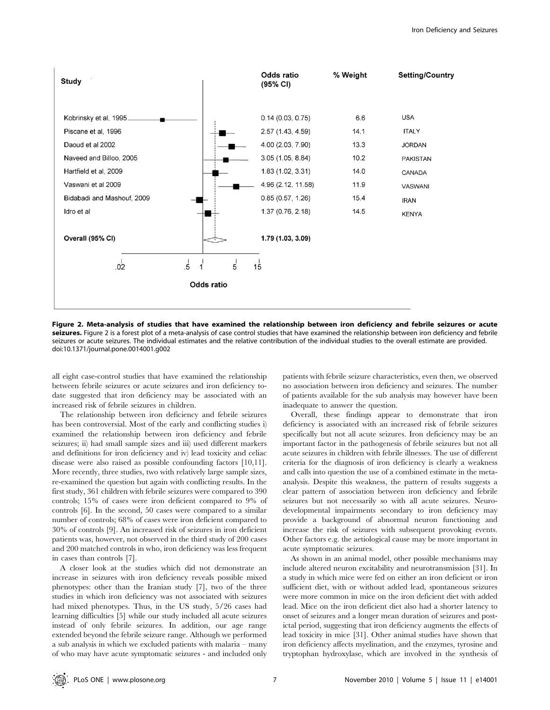

Figure 2. Meta-analysis of studies that have examined the relationship between iron deficiency and febrile seizures or acute seizures. Figure 2 is a forest plot of a meta-analysis of case control studies that have examined the relationship between iron deficiency and febrile seizures or acute seizures. The individual estimates and the relative contribution of the individual studies to the overall estimate are provided. doi:10.1371/journal.pone.0014001.g002

all eight case-control studies that have examined the relationship between febrile seizures or acute seizures and iron deficiency todate suggested that iron deficiency may be associated with an increased risk of febrile seizures in children.

The relationship between iron deficiency and febrile seizures has been controversial. Most of the early and conflicting studies i) examined the relationship between iron deficiency and febrile seizures; ii) had small sample sizes and iii) used different markers and definitions for iron deficiency and iv) lead toxicity and celiac disease were also raised as possible confounding factors [10,11]. More recently, three studies, two with relatively large sample sizes, re-examined the question but again with conflicting results. In the first study, 361 children with febrile seizures were compared to 390 controls; 15% of cases were iron deficient compared to 9% of controls [6]. In the second, 50 cases were compared to a similar number of controls; 68% of cases were iron deficient compared to 30% of controls [9]. An increased risk of seizures in iron deficient patients was, however, not observed in the third study of 200 cases and 200 matched controls in who, iron deficiency was less frequent in cases than controls [7].

A closer look at the studies which did not demonstrate an increase in seizures with iron deficiency reveals possible mixed phenotypes: other than the Iranian study [7], two of the three studies in which iron deficiency was not associated with seizures had mixed phenotypes. Thus, in the US study, 5/26 cases had learning difficulties [5] while our study included all acute seizures instead of only febrile seizures. In addition, our age range extended beyond the febrile seizure range. Although we performed a sub analysis in which we excluded patients with malaria – many of who may have acute symptomatic seizures - and included only patients with febrile seizure characteristics, even then, we observed no association between iron deficiency and seizures. The number of patients available for the sub analysis may however have been inadequate to answer the question.

Overall, these findings appear to demonstrate that iron deficiency is associated with an increased risk of febrile seizures specifically but not all acute seizures. Iron deficiency may be an important factor in the pathogenesis of febrile seizures but not all acute seizures in children with febrile illnesses. The use of different criteria for the diagnosis of iron deficiency is clearly a weakness and calls into question the use of a combined estimate in the metaanalysis. Despite this weakness, the pattern of results suggests a clear pattern of association between iron deficiency and febrile seizures but not necessarily so with all acute seizures. Neurodevelopmental impairments secondary to iron deficiency may provide a background of abnormal neuron functioning and increase the risk of seizures with subsequent provoking events. Other factors e.g. the aetiological cause may be more important in acute symptomatic seizures.

As shown in an animal model, other possible mechanisms may include altered neuron excitability and neurotransmission [31]. In a study in which mice were fed on either an iron deficient or iron sufficient diet, with or without added lead, spontaneous seizures were more common in mice on the iron deficient diet with added lead. Mice on the iron deficient diet also had a shorter latency to onset of seizures and a longer mean duration of seizures and postictal period, suggesting that iron deficiency augments the effects of lead toxicity in mice [31]. Other animal studies have shown that iron deficiency affects myelination, and the enzymes, tyrosine and tryptophan hydroxylase, which are involved in the synthesis of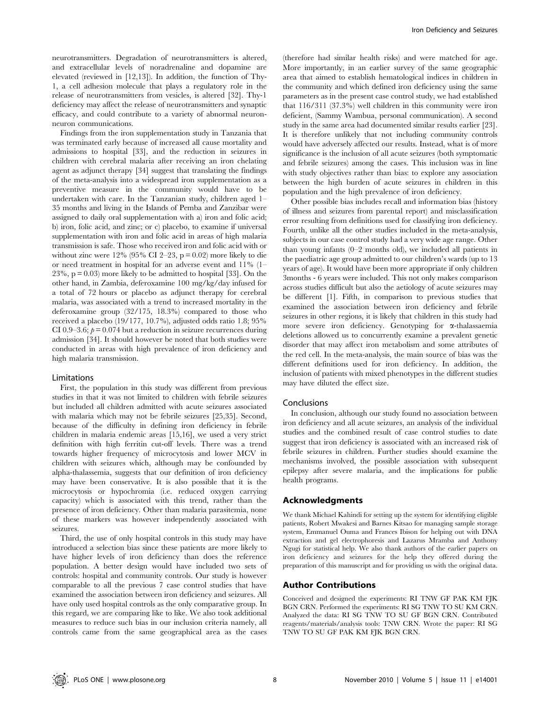neurotransmitters. Degradation of neurotransmitters is altered, and extracellular levels of noradrenaline and dopamine are elevated (reviewed in [12,13]). In addition, the function of Thy-1, a cell adhesion molecule that plays a regulatory role in the release of neurotransmitters from vesicles, is altered [32]. Thy-1 deficiency may affect the release of neurotransmitters and synaptic efficacy, and could contribute to a variety of abnormal neuronneuron communications.

Findings from the iron supplementation study in Tanzania that was terminated early because of increased all cause mortality and admissions to hospital [33], and the reduction in seizures in children with cerebral malaria after receiving an iron chelating agent as adjunct therapy [34] suggest that translating the findings of the meta-analysis into a widespread iron supplementation as a preventive measure in the community would have to be undertaken with care. In the Tanzanian study, children aged 1– 35 months and living in the Islands of Pemba and Zanzibar were assigned to daily oral supplementation with a) iron and folic acid; b) iron, folic acid, and zinc; or c) placebo, to examine if universal supplementation with iron and folic acid in areas of high malaria transmission is safe. Those who received iron and folic acid with or without zinc were 12% (95% CI 2–23,  $p = 0.02$ ) more likely to die or need treatment in hospital for an adverse event and 11% (1–  $23\%$ ,  $p = 0.03$ ) more likely to be admitted to hospital [33]. On the other hand, in Zambia, deferoxamine 100 mg/kg/day infused for a total of 72 hours or placebo as adjunct therapy for cerebral malaria, was associated with a trend to increased mortality in the deferoxamine group (32/175, 18.3%) compared to those who received a placebo (19/177, 10.7%), adjusted odds ratio 1.8; 95% CI 0.9–3.6;  $p = 0.074$  but a reduction in seizure recurrences during admission [34]. It should however be noted that both studies were conducted in areas with high prevalence of iron deficiency and high malaria transmission.

#### Limitations

First, the population in this study was different from previous studies in that it was not limited to children with febrile seizures but included all children admitted with acute seizures associated with malaria which may not be febrile seizures [25,35]. Second, because of the difficulty in defining iron deficiency in febrile children in malaria endemic areas [15,16], we used a very strict definition with high ferritin cut-off levels. There was a trend towards higher frequency of microcytosis and lower MCV in children with seizures which, although may be confounded by alpha-thalassemia, suggests that our definition of iron deficiency may have been conservative. It is also possible that it is the microcytosis or hypochromia (i.e. reduced oxygen carrying capacity) which is associated with this trend, rather than the presence of iron deficiency. Other than malaria parasitemia, none of these markers was however independently associated with seizures.

Third, the use of only hospital controls in this study may have introduced a selection bias since these patients are more likely to have higher levels of iron deficiency than does the reference population. A better design would have included two sets of controls: hospital and community controls. Our study is however comparable to all the previous 7 case control studies that have examined the association between iron deficiency and seizures. All have only used hospital controls as the only comparative group. In this regard, we are comparing like to like. We also took additional measures to reduce such bias in our inclusion criteria namely, all controls came from the same geographical area as the cases

(therefore had similar health risks) and were matched for age. More importantly, in an earlier survey of the same geographic area that aimed to establish hematological indices in children in the community and which defined iron deficiency using the same parameters as in the present case control study, we had established that 116/311 (37.3%) well children in this community were iron deficient, (Sammy Wambua, personal communication). A second study in the same area had documented similar results earlier [23]. It is therefore unlikely that not including community controls would have adversely affected our results. Instead, what is of more significance is the inclusion of all acute seizures (both symptomatic and febrile seizures) among the cases. This inclusion was in line with study objectives rather than bias: to explore any association between the high burden of acute seizures in children in this population and the high prevalence of iron deficiency.

Other possible bias includes recall and information bias (history of illness and seizures from parental report) and misclassification error resulting from definitions used for classifying iron deficiency. Fourth, unlike all the other studies included in the meta-analysis, subjects in our case control study had a very wide age range. Other than young infants (0–2 months old), we included all patients in the paediatric age group admitted to our children's wards (up to 13 years of age). It would have been more appropriate if only children 3months - 6 years were included. This not only makes comparison across studies difficult but also the aetiology of acute seizures may be different [1]. Fifth, in comparison to previous studies that examined the association between iron deficiency and febrile seizures in other regions, it is likely that children in this study had more severe iron deficiency. Genotyping for a-thalassaemia deletions allowed us to concurrently examine a prevalent genetic disorder that may affect iron metabolism and some attributes of the red cell. In the meta-analysis, the main source of bias was the different definitions used for iron deficiency. In addition, the inclusion of patients with mixed phenotypes in the different studies may have diluted the effect size.

#### Conclusions

In conclusion, although our study found no association between iron deficiency and all acute seizures, an analysis of the individual studies and the combined result of case control studies to date suggest that iron deficiency is associated with an increased risk of febrile seizures in children. Further studies should examine the mechanisms involved, the possible association with subsequent epilepsy after severe malaria, and the implications for public health programs.

# Acknowledgments

We thank Michael Kahindi for setting up the system for identifying eligible patients, Robert Mwakesi and Barnes Kitsao for managing sample storage system, Emmanuel Ouma and Frances Ibison for helping out with DNA extraction and gel electrophoresis and Lazarus Mramba and Anthony Ngugi for statistical help. We also thank authors of the earlier papers on iron deficiency and seizures for the help they offered during the preparation of this manuscript and for providing us with the original data.

#### Author Contributions

Conceived and designed the experiments: RI TNW GF PAK KM FJK BGN CRN. Performed the experiments: RI SG TNW TO SU KM CRN. Analyzed the data: RI SG TNW TO SU GF BGN CRN. Contributed reagents/materials/analysis tools: TNW CRN. Wrote the paper: RI SG TNW TO SU GF PAK KM FJK BGN CRN.